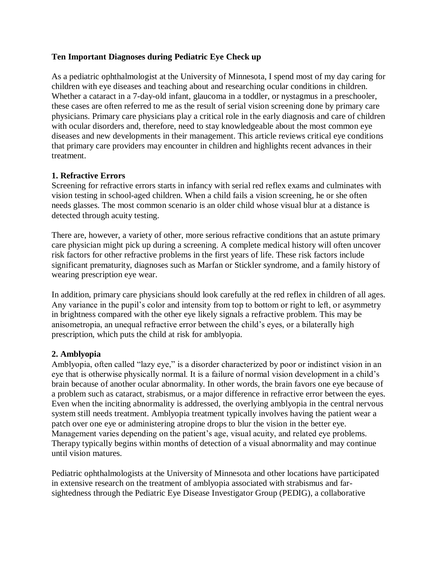## **Ten Important Diagnoses during Pediatric Eye Check up**

As a pediatric ophthalmologist at the University of Minnesota, I spend most of my day caring for children with eye diseases and teaching about and researching ocular conditions in children. Whether a cataract in a 7-day-old infant, glaucoma in a toddler, or nystagmus in a preschooler, these cases are often referred to me as the result of serial vision screening done by primary care physicians. Primary care physicians play a critical role in the early diagnosis and care of children with ocular disorders and, therefore, need to stay knowledgeable about the most common eye diseases and new developments in their management. This article reviews critical eye conditions that primary care providers may encounter in children and highlights recent advances in their treatment.

### **1. Refractive Errors**

Screening for refractive errors starts in infancy with serial red reflex exams and culminates with vision testing in school-aged children. When a child fails a vision screening, he or she often needs glasses. The most common scenario is an older child whose visual blur at a distance is detected through acuity testing.

There are, however, a variety of other, more serious refractive conditions that an astute primary care physician might pick up during a screening. A complete medical history will often uncover risk factors for other refractive problems in the first years of life. These risk factors include significant prematurity, diagnoses such as Marfan or Stickler syndrome, and a family history of wearing prescription eye wear.

In addition, primary care physicians should look carefully at the red reflex in children of all ages. Any variance in the pupil's color and intensity from top to bottom or right to left, or asymmetry in brightness compared with the other eye likely signals a refractive problem. This may be anisometropia, an unequal refractive error between the child's eyes, or a bilaterally high prescription, which puts the child at risk for amblyopia.

### **2. Amblyopia**

Amblyopia, often called "lazy eye," is a disorder characterized by poor or indistinct vision in an eye that is otherwise physically normal. It is a failure of normal vision development in a child's brain because of another ocular abnormality. In other words, the brain favors one eye because of a problem such as cataract, strabismus, or a major difference in refractive error between the eyes. Even when the inciting abnormality is addressed, the overlying amblyopia in the central nervous system still needs treatment. Amblyopia treatment typically involves having the patient wear a patch over one eye or administering atropine drops to blur the vision in the better eye. Management varies depending on the patient's age, visual acuity, and related eye problems. Therapy typically begins within months of detection of a visual abnormality and may continue until vision matures.

Pediatric ophthalmologists at the University of Minnesota and other locations have participated in extensive research on the treatment of amblyopia associated with strabismus and farsightedness through the Pediatric Eye Disease Investigator Group (PEDIG), a collaborative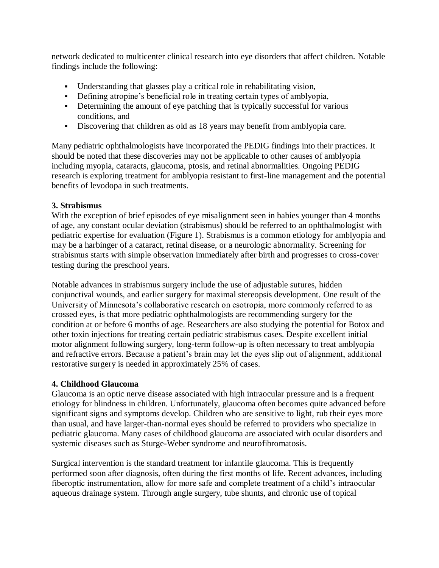network dedicated to multicenter clinical research into eye disorders that affect children. Notable findings include the following:

- Understanding that glasses play a critical role in rehabilitating vision,
- Defining atropine's beneficial role in treating certain types of amblyopia,
- Determining the amount of eye patching that is typically successful for various conditions, and
- Discovering that children as old as 18 years may benefit from amblyopia care.

Many pediatric ophthalmologists have incorporated the PEDIG findings into their practices. It should be noted that these discoveries may not be applicable to other causes of amblyopia including myopia, cataracts, glaucoma, ptosis, and retinal abnormalities. Ongoing PEDIG research is exploring treatment for amblyopia resistant to first-line management and the potential benefits of levodopa in such treatments.

### **3. Strabismus**

With the exception of brief episodes of eye misalignment seen in babies younger than 4 months of age, any constant ocular deviation (strabismus) should be referred to an ophthalmologist with pediatric expertise for evaluation [\(Figure 1\)](http://www.minnesotamedicine.com/Portals/mnmed/June%202009/BothunFigures.jpg). Strabismus is a common etiology for amblyopia and may be a harbinger of a cataract, retinal disease, or a neurologic abnormality. Screening for strabismus starts with simple observation immediately after birth and progresses to cross-cover testing during the preschool years.

Notable advances in strabismus surgery include the use of adjustable sutures, hidden conjunctival wounds, and earlier surgery for maximal stereopsis development. One result of the University of Minnesota's collaborative research on esotropia, more commonly referred to as crossed eyes, is that more pediatric ophthalmologists are recommending surgery for the condition at or before 6 months of age. Researchers are also studying the potential for Botox and other toxin injections for treating certain pediatric strabismus cases. Despite excellent initial motor alignment following surgery, long-term follow-up is often necessary to treat amblyopia and refractive errors. Because a patient's brain may let the eyes slip out of alignment, additional restorative surgery is needed in approximately 25% of cases.

### **4. Childhood Glaucoma**

Glaucoma is an optic nerve disease associated with high intraocular pressure and is a frequent etiology for blindness in children. Unfortunately, glaucoma often becomes quite advanced before significant signs and symptoms develop. Children who are sensitive to light, rub their eyes more than usual, and have larger-than-normal eyes should be referred to providers who specialize in pediatric glaucoma. Many cases of childhood glaucoma are associated with ocular disorders and systemic diseases such as Sturge-Weber syndrome and neurofibromatosis.

Surgical intervention is the standard treatment for infantile glaucoma. This is frequently performed soon after diagnosis, often during the first months of life. Recent advances, including fiberoptic instrumentation, allow for more safe and complete treatment of a child's intraocular aqueous drainage system. Through angle surgery, tube shunts, and chronic use of topical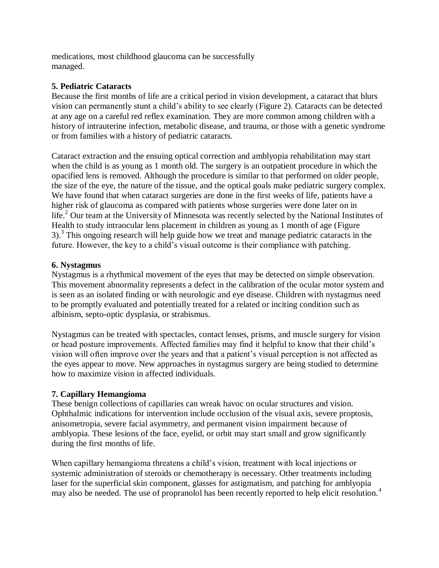medications, most childhood glaucoma can be successfully managed.

## **5. Pediatric Cataracts**

Because the first months of life are a critical period in vision development, a cataract that blurs vision can permanently stunt a child's ability to see clearly [\(Figure 2\)](http://www.minnesotamedicine.com/Portals/mnmed/June%202009/BothunFigures.jpg). Cataracts can be detected at any age on a careful red reflex examination. They are more common among children with a history of intrauterine infection, metabolic disease, and trauma, or those with a genetic syndrome or from families with a history of pediatric cataracts.

Cataract extraction and the ensuing optical correction and amblyopia rehabilitation may start when the child is as young as 1 month old. The surgery is an outpatient procedure in which the opacified lens is removed. Although the procedure is similar to that performed on older people, the size of the eye, the nature of the tissue, and the optical goals make pediatric surgery complex. We have found that when cataract surgeries are done in the first weeks of life, patients have a higher risk of glaucoma as compared with patients whose surgeries were done later on in life.<sup>2</sup> Our team at the University of Minnesota was recently selected by the National Institutes of Health to study intraocular lens placement in children as young as 1 month of age [\(Figure](http://www.minnesotamedicine.com/Portals/mnmed/June%202009/BothunFigures.jpg)  $3$ ).<sup>3</sup> This ongoing research will help guide how we treat and manage pediatric cataracts in the future. However, the key to a child's visual outcome is their compliance with patching.

### **6. Nystagmus**

Nystagmus is a rhythmical movement of the eyes that may be detected on simple observation. This movement abnormality represents a defect in the calibration of the ocular motor system and is seen as an isolated finding or with neurologic and eye disease. Children with nystagmus need to be promptly evaluated and potentially treated for a related or inciting condition such as albinism, septo-optic dysplasia, or strabismus.

Nystagmus can be treated with spectacles, contact lenses, prisms, and muscle surgery for vision or head posture improvements. Affected families may find it helpful to know that their child's vision will often improve over the years and that a patient's visual perception is not affected as the eyes appear to move. New approaches in nystagmus surgery are being studied to determine how to maximize vision in affected individuals.

## **7. Capillary Hemangioma**

These benign collections of capillaries can wreak havoc on ocular structures and vision. Ophthalmic indications for intervention include occlusion of the visual axis, severe proptosis, anisometropia, severe facial asymmetry, and permanent vision impairment because of amblyopia. These lesions of the face, eyelid, or orbit may start small and grow significantly during the first months of life.

When capillary hemangioma threatens a child's vision, treatment with local injections or systemic administration of steroids or chemotherapy is necessary. Other treatments including laser for the superficial skin component, glasses for astigmatism, and patching for amblyopia may also be needed. The use of propranolol has been recently reported to help elicit resolution.<sup>4</sup>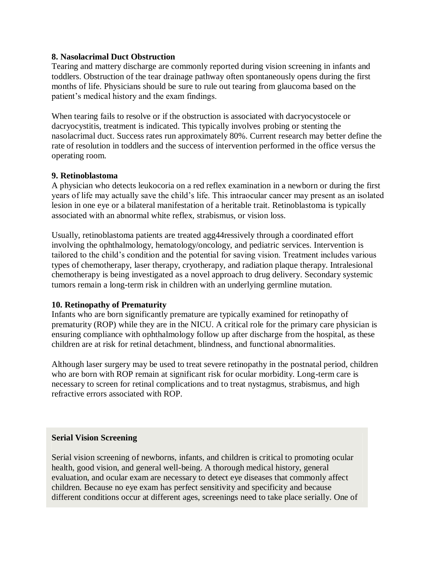### **8. Nasolacrimal Duct Obstruction**

Tearing and mattery discharge are commonly reported during vision screening in infants and toddlers. Obstruction of the tear drainage pathway often spontaneously opens during the first months of life. Physicians should be sure to rule out tearing from glaucoma based on the patient's medical history and the exam findings.

When tearing fails to resolve or if the obstruction is associated with dacryocystocele or dacryocystitis, treatment is indicated. This typically involves probing or stenting the nasolacrimal duct. Success rates run approximately 80%. Current research may better define the rate of resolution in toddlers and the success of intervention performed in the office versus the operating room.

### **9. Retinoblastoma**

A physician who detects leukocoria on a red reflex examination in a newborn or during the first years of life may actually save the child's life. This intraocular cancer may present as an isolated lesion in one eye or a bilateral manifestation of a heritable trait. Retinoblastoma is typically associated with an abnormal white reflex, strabismus, or vision loss.

Usually, retinoblastoma patients are treated agg44ressively through a coordinated effort involving the ophthalmology, hematology/oncology, and pediatric services. Intervention is tailored to the child's condition and the potential for saving vision. Treatment includes various types of chemotherapy, laser therapy, cryotherapy, and radiation plaque therapy. Intralesional chemotherapy is being investigated as a novel approach to drug delivery. Secondary systemic tumors remain a long-term risk in children with an underlying germline mutation.

### **10. Retinopathy of Prematurity**

Infants who are born significantly premature are typically examined for retinopathy of prematurity (ROP) while they are in the NICU. A critical role for the primary care physician is ensuring compliance with ophthalmology follow up after discharge from the hospital, as these children are at risk for retinal detachment, blindness, and functional abnormalities.

Although laser surgery may be used to treat severe retinopathy in the postnatal period, children who are born with ROP remain at significant risk for ocular morbidity. Long-term care is necessary to screen for retinal complications and to treat nystagmus, strabismus, and high refractive errors associated with ROP.

### **Serial Vision Screening**

Serial vision screening of newborns, infants, and children is critical to promoting ocular health, good vision, and general well-being. A thorough medical history, general evaluation, and ocular exam are necessary to detect eye diseases that commonly affect children. Because no eye exam has perfect sensitivity and specificity and because different conditions occur at different ages, screenings need to take place serially. One of